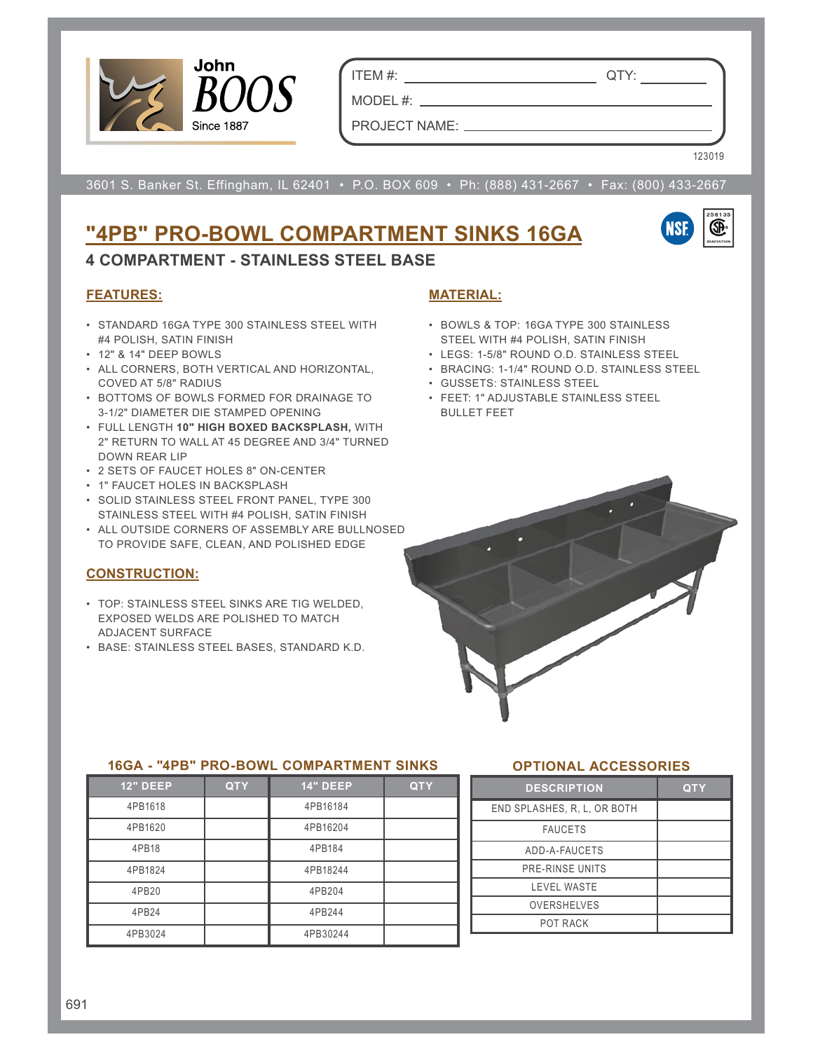

ITEM #: QTY:

PROJECT NAME:

 $MODEL$ #:  $\_\_$ 

3601 S. Banker St. Effingham, IL 62401 • P.O. BOX 609 • Ph: (888) 431-2667 • Fax: (800) 433-2667

# **"4PB" PRO-BOWL COMPARTMENT SINKS 16GA**



123019

**FEATURES:**

• STANDARD 16GA TYPE 300 STAINLESS STEEL WITH #4 POLISH, SATIN FINISH

**4 COMPARTMENT - STAINLESS STEEL BASE**

- 12" & 14" DEEP BOWLS
- ALL CORNERS, BOTH VERTICAL AND HORIZONTAL, COVED AT 5/8" RADIUS
- BOTTOMS OF BOWLS FORMED FOR DRAINAGE TO 3-1/2" DIAMETER DIE STAMPED OPENING
- FULL LENGTH **10" HIGH BOXED BACKSPLASH,** WITH 2" RETURN TO WALL AT 45 DEGREE AND 3/4" TURNED DOWN REAR LIP
- 2 SETS OF FAUCET HOLES 8" ON-CENTER
- 1" FAUCET HOLES IN BACKSPLASH
- SOLID STAINLESS STEEL FRONT PANEL, TYPE 300 STAINLESS STEEL WITH #4 POLISH, SATIN FINISH
- ALL OUTSIDE CORNERS OF ASSEMBLY ARE BULLNOSED TO PROVIDE SAFE, CLEAN, AND POLISHED EDGE

# **CONSTRUCTION:**

- TOP: STAINLESS STEEL SINKS ARE TIG WELDED, EXPOSED WELDS ARE POLISHED TO MATCH ADJACENT SURFACE
- BASE: STAINLESS STEEL BASES, STANDARD K.D.

# **MATERIAL:**

- BOWLS & TOP: 16GA TYPE 300 STAINLESS STEEL WITH #4 POLISH, SATIN FINISH
- LEGS: 1-5/8" ROUND O.D. STAINLESS STEEL
- BRACING: 1-1/4" ROUND O.D. STAINLESS STEEL
- GUSSETS: STAINLESS STEEL
- FEET: 1" ADJUSTABLE STAINLESS STEEL BULLET FEET



### **16GA - "4PB" PRO-BOWL COMPARTMENT SINKS**

| <b>12" DEEP</b> | <b>QTY</b> | <b>14" DEEP</b> | <b>QTY</b> |
|-----------------|------------|-----------------|------------|
| 4PB1618         |            | 4PB16184        |            |
| 4PB1620         |            | 4PB16204        |            |
| 4PB18           |            | 4PB184          |            |
| 4PB1824         |            | 4PB18244        |            |
| 4PB20           |            | 4PB204          |            |
| 4PB24           |            | 4PB244          |            |
| 4PB3024         |            | 4PB30244        |            |

# **OPTIONAL ACCESSORIES**

| <b>DESCRIPTION</b>          | <b>QTY</b> |
|-----------------------------|------------|
| END SPLASHES, R. L. OR BOTH |            |
| <b>FAUCETS</b>              |            |
| ADD-A-FAUCETS               |            |
| PRE-RINSE UNITS             |            |
| <b>LEVEL WASTE</b>          |            |
| <b>OVERSHELVES</b>          |            |
| POT RACK                    |            |